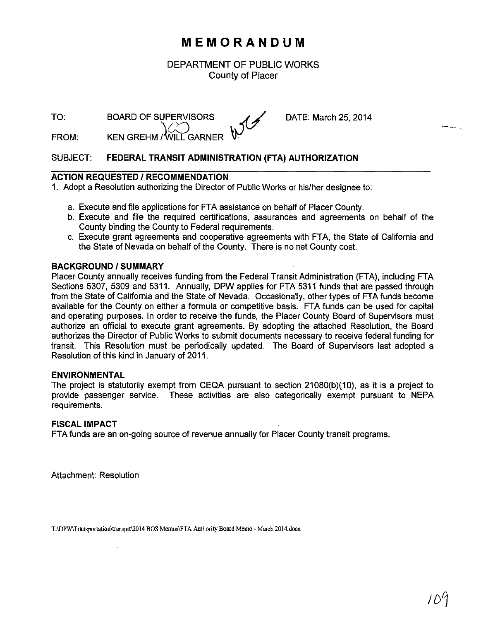## **MEMORANDUM**

DEPARTMENT OF PUBLIC WORKS County of Placer

TO:

 $\setminus$ BOARD OF SUPERVISORS  $\mathcal{A}\mathcal{A}$ 

DATE: March 25, 2014

FROM: KEN GREHM / WILL GARNER V.

### SUBJECT: **FEDERAL TRANSIT ADMINISTRATION (FTA) AUTHORIZATION**

### **ACTION REQUESTED I RECOMMENDATION**

1. Adopt a Resolution authorizing the Director of Public Works or his/her designee to:

- a. Execute and file applications for FTA assistance on behalf of Placer County.
- b. Execute and file the required certifications, assurances and agreements on behalf of the County binding the County to Federal requirements.
- c. Execute grant agreements and cooperative agreements with FTA, the State of California and the State of Nevada on behalf of the County. There is no net County cost.

#### **BACKGROUND/SUMMARY**

Placer County annually receives funding from the Federal Transit Administration (FTA), including FTA Sections 5307, 5309 and 5311. Annually, DPW applies for FTA 5311 funds that are passed through from the State of California and the State of Nevada. Occasionally, other types of FT A funds become available for the County on either a formula or competitive basis. FTA funds can be used for capital and operating purposes. In order to receive the funds, the Placer County Board of Supervisors must authorize an official to execute grant agreements. By adopting the attached Resolution, the Board authorizes the Director of Public Works to submit documents necessary to receive federal funding for transit. This Resolution must be periodically updated. The Board of Supervisors last adopted a Resolution of this kind in January of 2011.

#### **ENVIRONMENTAL**

The project is statutorily exempt from CEQA pursuant to section 21080(b)(10), as it is a project to provide passenger service. These activities are also categorically exempt pursuant to NEPA requirements.

#### **FISCAL IMPACT**

FTA funds are an on-going source of revenue annually for Placer County transit programs.

Attachment: Resolution

**T:\DPW\Transportation\transprt\2014 BOS Memos\FTA Authority Board Memo- March 2014.docx**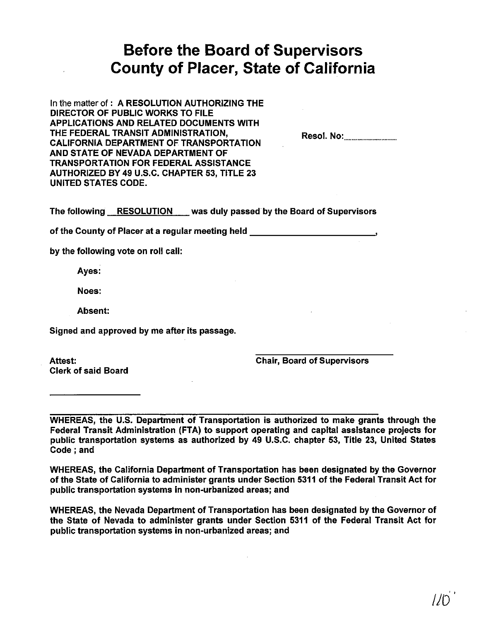# **Before the Board of Supervisors County of Placer, State of California**

In the matter of: A RESOLUTION AUTHORIZING THE DIRECTOR OF PUBLIC WORKS TO FILE APPLICATIONS AND RELATED DOCUMENTS WITH THE FEDERAL TRANSIT ADMINISTRATION, CALIFORNIA DEPARTMENT OF TRANSPORTATION AND STATE OF NEVADA DEPARTMENT OF TRANSPORTATION FOR FEDERAL ASSISTANCE AUTHORIZED BY 49 U.S.C. CHAPTER 53, TITLE 23 UNITED STATES CODE.

Resol. No: .................................. .

The following RESOLUTION was duly passed by the Board of Supervisors

of the County of Placer at a regular meeting held

by the following vote on roll call:

Ayes:

Noes:

Absent:

Signed and approved by me after its passage.

Clerk of said Board

Attest: Chair, Board of Supervisors

WHEREAS, the U.S. Department of Transportation is authorized to make grants through the Federal Transit Administration (FTA) to support operating and capital assistance projects for public transportation systems as authorized by 49 U.S.C. chapter 53, Title 23, United States Code; and

WHEREAS, the California Department of Transportation has been designated by the Governor of the State of California to administer grants under Section 5311 of the Federal Transit Act for public transportation systems in non-urbanized areas; and

WHEREAS, the Nevada Department of Transportation has been designated by the Governor of the State of Nevada to administer grants under Section 5311 of the Federal Transit Act for public transportation systems in non-urbanized areas; and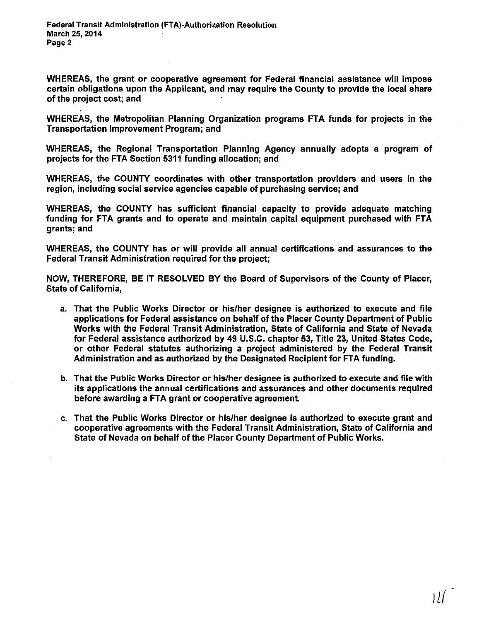WHEREAS, the grant or cooperative agreement for Federal financial assistance will impose certain obligations upon the Applicant, and may require the County to provide the local share of the project cost; and

WHEREAS, the Metropolitan Planning Organization programs FTA funds for projects in the Transportation Improvement Program; and

WHEREAS, the Regional Transportation Planning Agency annually adopts a program of projects for the FTA Section 5311 funding allocation; and

WHEREAS, the COUNTY coordinates with other transportation providers and users in the region, including social service agencies capable of purchasing service; and

WHEREAS, the COUNTY has sufficient financial capacity to provide adequate matching funding for FTA grants and to operate and maintain capital equipment purchased with FTA grants; and

WHEREAS, the COUNTY has or will provide all annual certifications and assurances to the Federal Transit Administration required for the project;

NOW, THEREFORE, BE IT RESOLVED BY the Board of Supervisors of the County of Placer, State of California,

- a. That the Public Works Director or his/her designee is authorized to execute and file applications for Federal assistance on behalf of the Placer County Department of Public Works with the Federal Transit Administration, State of California and State of Nevada for Federal assistance authorized by 49 U.S.C. chapter 53, Title 23, United States Code, or other Federal statutes authorizing a project administered by the Federal Transit Administration and as authorized by the Designated Recipient for FTA funding.
- b. That the Public Works Director or his/her designee is authorized to execute and file with its applications the annual certifications and assurances and other documents required before awarding a FTA grant or cooperative agreement
- c. That the Public Works Director or his/her designee is authorized to execute grant and cooperative agreements with the Federal Transit Administration, State of California and State of Nevada on behalf of the Placer County Department of Public Works.